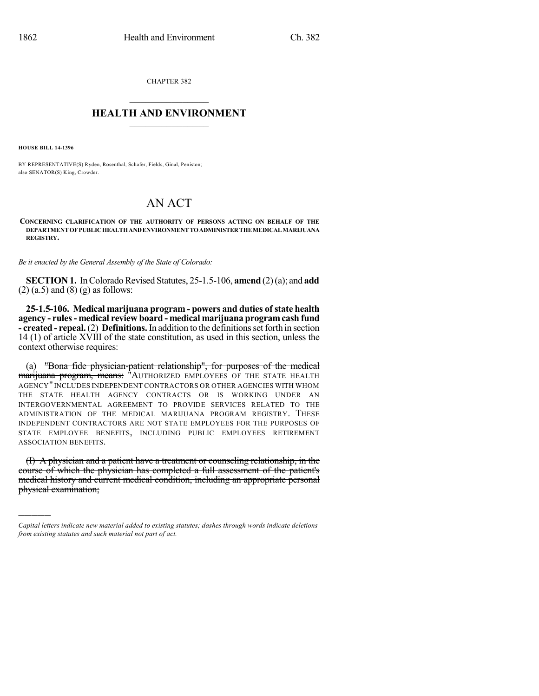CHAPTER 382  $\overline{\phantom{a}}$  . The set of the set of the set of the set of the set of the set of the set of the set of the set of the set of the set of the set of the set of the set of the set of the set of the set of the set of the set o

## **HEALTH AND ENVIRONMENT**  $\_$

**HOUSE BILL 14-1396**

)))))

BY REPRESENTATIVE(S) Ryden, Rosenthal, Schafer, Fields, Ginal, Peniston; also SENATOR(S) King, Crowder.

## AN ACT

**CONCERNING CLARIFICATION OF THE AUTHORITY OF PERSONS ACTING ON BEHALF OF THE DEPARTMENTOFPUBLICHEALTHANDENVIRONMENTTOADMINISTERTHEMEDICALMARIJUANA REGISTRY.**

*Be it enacted by the General Assembly of the State of Colorado:*

**SECTION 1.** In Colorado Revised Statutes, 25-1.5-106, **amend** (2)(a); and **add**  $(2)$  (a.5) and (8) (g) as follows:

**25-1.5-106. Medical marijuana program - powers and duties ofstate health agency - rules- medical review board - medical marijuana programcash fund - created** - **repeal.** (2) **Definitions.** In addition to the definitions set forth in section 14 (1) of article XVIII of the state constitution, as used in this section, unless the context otherwise requires:

(a) "Bona fide physician-patient relationship", for purposes of the medical <del>marijuana program, means:</del> "Authorized employees of the state health AGENCY" INCLUDES INDEPENDENT CONTRACTORS OR OTHER AGENCIES WITH WHOM THE STATE HEALTH AGENCY CONTRACTS OR IS WORKING UNDER AN INTERGOVERNMENTAL AGREEMENT TO PROVIDE SERVICES RELATED TO THE ADMINISTRATION OF THE MEDICAL MARIJUANA PROGRAM REGISTRY. THESE INDEPENDENT CONTRACTORS ARE NOT STATE EMPLOYEES FOR THE PURPOSES OF STATE EMPLOYEE BENEFITS, INCLUDING PUBLIC EMPLOYEES RETIREMENT ASSOCIATION BENEFITS.

(I) A physician and a patient have a treatment or counseling relationship, in the course of which the physician has completed a full assessment of the patient's medical history and current medical condition, including an appropriate personal physical examination;

*Capital letters indicate new material added to existing statutes; dashes through words indicate deletions from existing statutes and such material not part of act.*